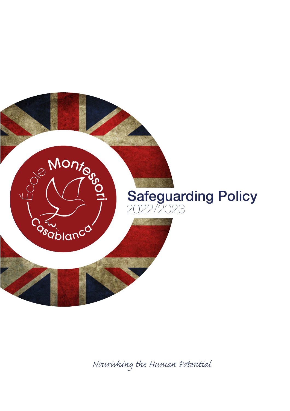

*Nourishing the Human Pential*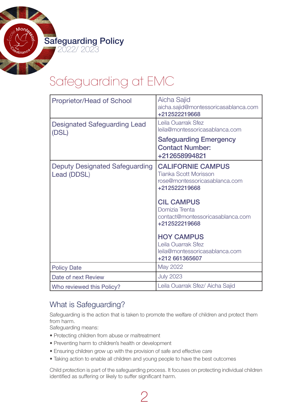# Safeguarding at EMC

| <b>Proprietor/Head of School</b>                     | Aicha Sajid<br>aicha.sajid@montessoricasablanca.com<br>+212522219668                                       |
|------------------------------------------------------|------------------------------------------------------------------------------------------------------------|
| <b>Designated Safeguarding Lead</b><br>(DSL)         | Leila Ouarrak Sfez<br>leila@montessoricasablanca.com                                                       |
|                                                      | <b>Safeguarding Emergency</b><br><b>Contact Number:</b><br>+212658994821                                   |
| <b>Deputy Designated Safeguarding</b><br>Lead (DDSL) | <b>CALIFORNIE CAMPUS</b><br><b>Tianka Scott Morisson</b><br>rose@montessoricasablanca.com<br>+212522219668 |
|                                                      | <b>CIL CAMPUS</b><br>Domizia Trenta<br>contact@montessoricasablanca.com<br>+212522219668                   |
|                                                      | <b>HOY CAMPUS</b><br>Leila Ouarrak Sfez<br>leila@montessoricasablanca.com<br>+212 661365607                |
| <b>Policy Date</b>                                   | May 2022                                                                                                   |
| Date of next Review                                  | <b>July 2023</b>                                                                                           |
| Who reviewed this Policy?                            | Leila Ouarrak Sfez/ Aicha Sajid                                                                            |

# What is Safeguarding?

Safeguarding is the action that is taken to promote the welfare of children and protect them from harm.

Safeguarding means:

- Protecting children from abuse or maltreatment
- Preventing harm to children's health or development
- Ensuring children grow up with the provision of safe and effective care
- Taking action to enable all children and young people to have the best outcomes

 $\overline{\phantom{a}}$ 

Child protection is part of the safeguarding process. It focuses on protecting individual children identified as suffering or likely to suffer significant harm.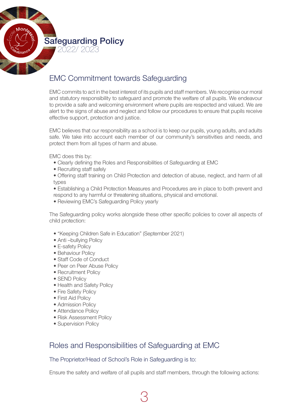

# EMC Commitment towards Safeguarding

EMC commits to act in the best interest of its pupils and staff members. We recognise our moral and statutory responsibility to safeguard and promote the welfare of all pupils. We endeavour to provide a safe and welcoming environment where pupils are respected and valued. We are alert to the signs of abuse and neglect and follow our procedures to ensure that pupils receive effective support, protection and justice.

EMC believes that our responsibility as a school is to keep our pupils, young adults, and adults safe. We take into account each member of our community's sensitivities and needs, and protect them from all types of harm and abuse.

EMC does this by:

- Clearly defining the Roles and Responsibilities of Safeguarding at EMC
- Recruiting staff safely
- Offering staff training on Child Protection and detection of abuse, neglect, and harm of all types
- Establishing a Child Protection Measures and Procedures are in place to both prevent and respond to any harmful or threatening situations, physical and emotional.
- Reviewing EMC's Safeguarding Policy yearly

The Safeguarding policy works alongside these other specific policies to cover all aspects of child protection:

- "Keeping Children Safe in Education" (September 2021)
- Anti-bullying Policy
- E-safety Policy
- Behaviour Policy
- Staff Code of Conduct
- Peer on Peer Abuse Policy
- Recruitment Policy
- SEND Policy
- Health and Safety Policy
- Fire Safety Policy
- First Aid Policy
- Admission Policy
- Attendance Policy
- Risk Assessment Policy
- Supervision Policy

# Roles and Responsibilities of Safeguarding at EMC

# The Proprietor/Head of School's Role in Safeguarding is to:

Ensure the safety and welfare of all pupils and staff members, through the following actions: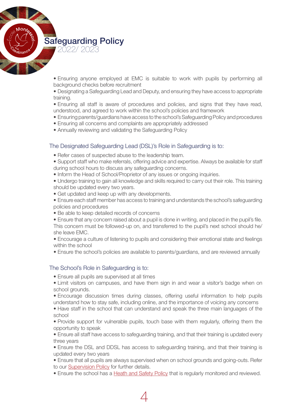> • Ensuring anyone employed at EMC is suitable to work with pupils by performing all background checks before recruitment

> • Designating a Safeguarding Lead and Deputy, and ensuring they have access to appropriate training.

> • Ensuring all staff is aware of procedures and policies, and signs that they have read, understood, and agreed to work within the school's policies and framework

- Ensuring parents/guardians have access to the school's Safeguarding Policy and procedures
- Ensuring all concerns and complaints are appropriately addressed
- Annually reviewing and validating the Safeguarding Policy

#### The Designated Safeguarding Lead (DSL)'s Role in Safeguarding is to:

- Refer cases of suspected abuse to the leadership team.
- • Support staff who make referrals, offering advice and expertise. Always be available for staff during school hours to discuss any safeguarding concerns.
- Inform the Head of School/Proprietor of any issues or ongoing inquiries.
- Undergo training to gain all knowledge and skills required to carry out their role. This training should be updated every two years.
- Get updated and keep up with any developments.
- Ensure each staff member has access to training and understands the school's safeguarding policies and procedures
- Be able to keep detailed records of concerns
- Ensure that any concern raised about a pupil is done in writing, and placed in the pupil's file.

This concern must be followed-up on, and transferred to the pupil's next school should he/ she leave EMC.

• Encourage a culture of listening to pupils and considering their emotional state and feelings within the school

• Ensure the school's policies are available to parents/guardians, and are reviewed annually

# The School's Role in Safeguarding is to:

- Ensure all pupils are supervised at all times
- Limit visitors on campuses, and have them sign in and wear a visitor's badge when on school grounds.
- Encourage discussion times during classes, offering useful information to help pupils understand how to stay safe, including online, and the importance of voicing any concerns

• Have staff in the school that can understand and speak the three main languages of the school

• Provide support for vulnerable pupils, touch base with them regularly, offering them the opportunity to speak

• Ensure all staff have access to safeguarding training, and that their training is updated every three years

• Ensure the DSL and DDSL has access to safeguarding training, and that their training is updated every two years

• Ensure that all pupils are always supervised when on school grounds and going-outs. Refer to our Supervision Policy for further details.

• Ensure the school has a Heath and [Safety](https://drive.google.com/file/d/1v9g8kRUiAVKVdp_bvKCf6VehkId3N24z/view?usp=sharing) Policy that is regularly monitored and reviewed.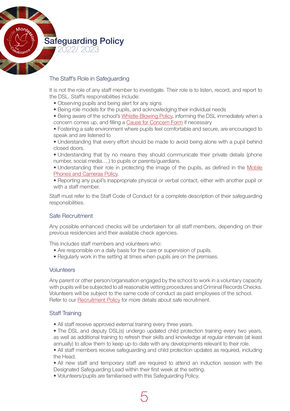

# The Staff's Role in Safeguarding

It is not the role of any staff member to investigate. Their role is to listen, record, and report to the DSL. Staff's responsibilities include:

- Observing pupils and being alert for any signs
- Being role models for the pupils, and acknowledging their individual needs

• Being aware of the school's [Whistle-Blowing](https://drive.google.com/file/d/1Fz7NfWDTWbqsqCRFV8IdM1uIL70eT-HF/view?usp=sharing) Policy, informing the DSL immediately when a concern comes up, and filling a Cause for [Concern](https://drive.google.com/file/d/1SpYO17G0ujemF3rnM0sZZGCmf1YhnJ4u/view?usp=sharing) Form if necessary

 • Fostering a safe environment where pupils feel comfortable and secure, are encouraged to speak and are listened to

• Understanding that every effort should be made to avoid being alone with a pupil behind closed doors.

• Understanding that by no means they should communicate their private details (phone number, social media….) to pupils or parents/guardians.

• Understanding their role in protecting the image of the pupils, as defined in the Mobile [Phones and Cameras Policy.](https://drive.google.com/file/d/1YsxMMXpP0T8r41aMbRyETnwLzmZkZyYP/view?usp=sharing) 

• Reporting any pupil's inappropriate physical or verbal contact, either with another pupil or with a staff member.

Staff must refer to the Staff Code of Conduct for a complete description of their safeguarding responsibilities.

# Safe Recruitment

Any possible enhanced checks will be undertaken for all staff members, depending on their previous residencies and their available check agencies.

This includes staff members and volunteers who:

- Are responsible on a daily basis for the care or supervision of pupils.
- Regularly work in the setting at times when pupils are on the premises.

#### **Volunteers**

Any parent or other person/organisation engaged by the school to work in a voluntary capacity with pupils will be subjected to all reasonable vetting procedures and Criminal Records Checks. Volunteers will be subject to the same code of conduct as paid employees of the school. Refer to our **[Recruitment](https://drive.google.com/file/d/1X4KiHeGf9uHQZ-xpUCoNJW2jVcDErBJk/view?usp=sharing) Policy** for more details about safe recruitment.

#### Staff Training

• All staff receive approved external training every three years.

• The DSL and deputy DSL(s) undergo updated child protection training every two years, as well as additional training to refresh their skills and knowledge at regular intervals (at least annually) to allow them to keep up-to-date with any developments relevant to their role.

• All staff members receive safequarding and child protection updates as required, including the Head.

• All new staff and temporary staff are required to attend an induction session with the Designated Safeguarding Lead within their first week at the setting.

 • Volunteers/pupils are familiarised with this Safeguarding Policy.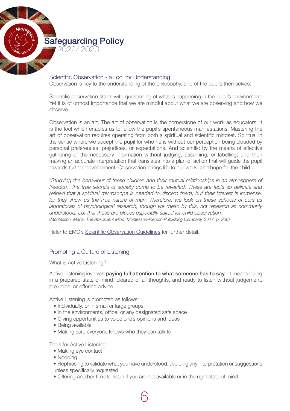

#### Scientific Observation - a Tool for Understanding

Observation is key to the understanding of the philosophy, and of the pupils themselves.

Scientific observation starts with questioning of what is happening in the pupil's environment. Yet it is of utmost importance that we are mindful about what we are observing and how we observe.

Observation is an art. The art of observation is the cornerstone of our work as educators. It is the tool which enables us to follow the pupil's spontaneous manifestations. Mastering the art of observation requires operating from both a spiritual and scientific mindset. Spiritual in the sense where we accept the pupil for who he is without our perception being clouded by personal preferences, prejudices, or expectations. And scientific by the means of effective gathering of the necessary information without judging, assuming, or labelling, and then making an accurate interpretation that translates into a plan of action that will guide the pupil towards further development. Observation brings life to our work, and hope for the child.

"*Studying the behaviour of these children and their mutual relationships in an atmosphere of freedom, the true secrets of society come to be revealed. These are facts so delicate and refined that a spiritual microscope is needed to discern them, but their interest is immense, for they show us the true nature of man. Therefore, we look on these schools of ours as laboratories of psychological research, though we mean by this, not research as commonly understood, but that these are places especially suited for child observation.*" *(Montessori, Maria, The Absorbent Mind, Montessori-Pierson Publishing Company, 2017, p. 206*)

Refer to EMC's Scientific [Observation](https://drive.google.com/file/d/1iz2Btky1nn-isHqHU23dpJZ4ATxjLSye/view?usp=sharing) Guidelines for further detail.

# Promoting a Culture of Listening

What is Active Listening?

Active Listening involves **paying full attention to what someone has to say.** It means being in a prepared state of mind, cleared of all thoughts, and ready to listen without judgement, prejudice, or offering advice.

Active Listening is promoted as follows:

- Individually, or in small or large groups
- In the environments, office, or any designated safe space
- Giving opportunities to voice one's opinions and ideas
- Being available
- Making sure everyone knows who they can talk to

Tools for Active Listening:

- Making eye contact
- Nodding
- Rephrasing to validate what you have understood, avoiding any interpretation or suggestions unless specifically requested
- Offering another time to listen if you are not available or in the right state of mind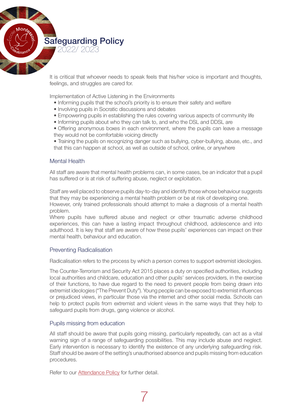> It is critical that whoever needs to speak feels that his/her voice is important and thoughts, feelings, and struggles are cared for.

Implementation of Active Listening in the Environments

- • Informing pupils that the school's priority is to ensure their safety and welfare
- Involving pupils in Socratic discussions and debates
- Empowering pupils in establishing the rules covering various aspects of community life
- Informing pupils about who they can talk to, and who the DSL and DDSL are
- Offering anonymous boxes in each environment, where the pupils can leave a message they would not be comfortable voicing directly
- Training the pupils on recognizing danger such as bullying, cyber-bullying, abuse, etc., and that this can happen at school, as well as outside of school, online, or anywhere

# Mental Health

All staff are aware that mental health problems can, in some cases, be an indicator that a pupil has suffered or is at risk of suffering abuse, neglect or exploitation.

Staff are well placed to observe pupils day-to-day and identify those whose behaviour suggests that they may be experiencing a mental health problem or be at risk of developing one.

However, only trained professionals should attempt to make a diagnosis of a mental health problem.

Where pupils have suffered abuse and neglect or other traumatic adverse childhood experiences, this can have a lasting impact throughout childhood, adolescence and into adulthood. It is key that staff are aware of how these pupils' experiences can impact on their mental health, behaviour and education.

# Preventing Radicalisation

Radicalisation refers to the process by which a person comes to support extremist ideologies.

The Counter-Terrorism and Security Act 2015 places a duty on specified authorities, including local authorities and childcare, education and other pupils' services providers, in the exercise of their functions, to have due regard to the need to prevent people from being drawn into extremist ideologies ("The Prevent Duty"). Young people can be exposed to extremist influences or prejudiced views, in particular those via the internet and other social media. Schools can help to protect pupils from extremist and violent views in the same ways that they help to safeguard pupils from drugs, gang violence or alcohol.

# Pupils missing from education

All staff should be aware that pupils going missing, particularly repeatedly, can act as a vital warning sign of a range of safeguarding possibilities. This may include abuse and neglect. Early intervention is necessary to identify the existence of any underlying safeguarding risk. Staff should be aware of the setting's unauthorised absence and pupils missing from education procedures.

Refer to our [Attendance Policy](https://drive.google.com/file/d/1CJsKtIXNGWr64V0MULL2ijZkHgAz51qI/view?usp=sharing) for further detail.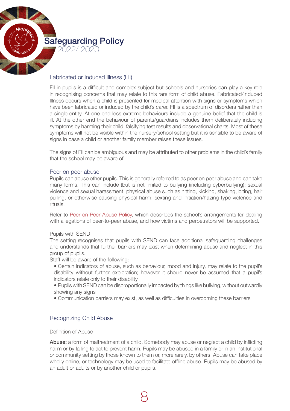

## Fabricated or Induced Illness (FII)

FII in pupils is a difficult and complex subject but schools and nurseries can play a key role in recognising concerns that may relate to this rare form of child abuse. Fabricated/Induced Illness occurs when a child is presented for medical attention with signs or symptoms which have been fabricated or induced by the child's carer. FII is a spectrum of disorders rather than a single entity. At one end less extreme behaviours include a genuine belief that the child is ill. At the other end the behaviour of parents/guardians includes them deliberately inducing symptoms by harming their child, falsifying test results and observational charts. Most of these symptoms will not be visible within the nursery/school setting but it is sensible to be aware of signs in case a child or another family member raises these issues.

The signs of FII can be ambiguous and may be attributed to other problems in the child's family that the school may be aware of.

#### Peer on peer abuse

Pupils can abuse other pupils. This is generally referred to as peer on peer abuse and can take many forms. This can include (but is not limited to bullying (including cyberbullying): sexual violence and sexual harassment, physical abuse such as hitting, kicking, shaking, biting, hair pulling, or otherwise causing physical harm; sexting and initiation/hazing type violence and rituals.

Refer to [Peer on Peer Abuse Policy,](https://drive.google.com/file/d/1HJmvCBCdtLdCNfObcBuVAh23pjpU4xLK/view?usp=sharing) which describes the school's arrangements for dealing with allegations of peer-to-peer abuse, and how victims and perpetrators will be supported.

#### Pupils with SEND

The setting recognises that pupils with SEND can face additional safeguarding challenges and understands that further barriers may exist when determining abuse and neglect in this group of pupils.

Staff will be aware of the following:

- Certain indicators of abuse, such as behaviour, mood and injury, may relate to the pupil's disability without further exploration; however it should never be assumed that a pupil's indicators relate only to their disability
- Pupils with SEND can be disproportionally impacted by things like bullying, without outwardly showing any signs
- Communication barriers may exist, as well as difficulties in overcoming these barriers

# Recognizing Child Abuse

#### Definition of Abuse

Abuse: a form of maltreatment of a child. Somebody may abuse or neglect a child by inflicting harm or by failing to act to prevent harm. Pupils may be abused in a family or in an institutional or community setting by those known to them or, more rarely, by others. Abuse can take place wholly online, or technology may be used to facilitate offline abuse. Pupils may be abused by an adult or adults or by another child or pupils.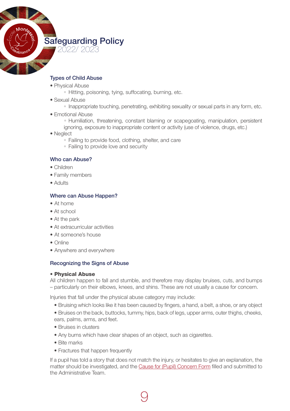

## Types of Child Abuse

- Physical Abuse
	- Hitting, poisoning, tying, suffocating, burning, etc.
- Sexual Abuse
	- Inappropriate touching, penetrating, exhibiting sexuality or sexual parts in any form, etc.
- Emotional Abuse
	- Humiliation, threatening, constant blaming or scapegoating, manipulation, persistent
	- ignoring, exposure to inappropriate content or activity (use of violence, drugs, etc.)
- Neglect
	- Failing to provide food, clothing, shelter, and care
	- Failing to provide love and security

#### Who can Abuse?

- Children
- Family members
- Adults

#### Where can Abuse Happen?

- At home
- At school
- At the park
- At extracurricular activities
- At someone's house
- Online
- Anywhere and everywhere

#### Recognizing the Signs of Abuse

#### • Physical Abuse

All children happen to fall and stumble, and therefore may display bruises, cuts, and bumps – particularly on their elbows, knees, and shins. These are not usually a cause for concern.

Injuries that fall under the physical abuse category may include:

- Bruising which looks like it has been caused by fingers, a hand, a belt, a shoe, or any object
- Bruises on the back, buttocks, tummy, hips, back of legs, upper arms, outer thighs, cheeks, ears, palms, arms, and feet.
- Bruises in clusters
- Any burns which have clear shapes of an object, such as cigarettes.
- Bite marks
- Fractures that happen frequently

If a pupil has told a story that does not match the injury, or hesitates to give an explanation, the matter should be investigated, and the Cause for (Pupil) [Concern](https://drive.google.com/file/d/1SpYO17G0ujemF3rnM0sZZGCmf1YhnJ4u/view?usp=sharing) Form filled and submitted to the Administrative Team.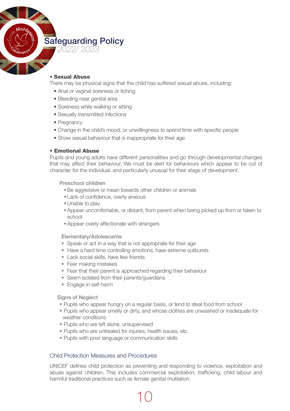

#### • Sexual Abuse

There may be physical signs that the child has suffered sexual abuse, including:

- Anal or vaginal soreness or itching
- Bleeding near genital area
- Soreness while walking or sitting
- Sexually transmitted infections
- Pregnancy
- Change in the child's mood, or unwillingness to spend time with specific people
- Show sexual behaviour that is inappropriate for their age

#### • Emotional Abuse

Pupils and young adults have different personalities and go through developmental changes that may affect their behaviour. We must be alert for behaviours which appear to be out of character for the individual, and particularly unusual for their stage of development.

Preschool children

- Be aggressive or mean towards other children or animals
- Lack of confidence, overly anxious
- Unable to play
- •Appear uncomfortable, or distant, from parent when being picked up from or taken to school
- Appear overly affectionate with strangers

Elementary/Adolescents

- Speak or act in a way that is not appropriate for their age
- Have a hard time controlling emotions, have extreme outbursts
- Lack social skills, have few friends
- Fear making mistakes
- Fear that their parent is approached regarding their behaviour
- Seem isolated from their parents/guardians
- Engage in self-harm

Signs of Neglect

- Pupils who appear hungry on a regular basis, or tend to steal food from school
- Pupils who appear smelly or dirty, and whose clothes are unwashed or inadequate for weather conditions
- Pupils who are left alone, unsupervised
- Pupils who are untreated for injuries, health issues, etc.
- Pupils with poor language or communication skills

#### Child Protection Measures and Procedures

UNICEF defines child protection as preventing and responding to violence, exploitation and abuse against children. This includes commercial exploitation, trafficking, child labour and harmful traditional practices such as female genital mutilation.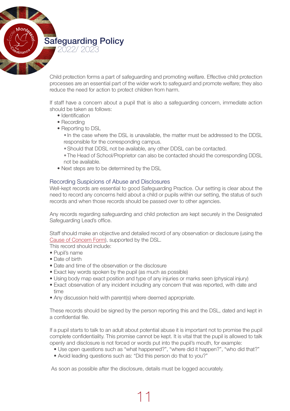Child protection forms a part of safeguarding and promoting welfare. Effective child protection processes are an essential part of the wider work to safeguard and promote welfare; they also reduce the need for action to protect children from harm.

If staff have a concern about a pupil that is also a safeguarding concern, immediate action should be taken as follows:

- Identification
- Recordina
- Reporting to DSL
	- In the case where the DSL is unavailable, the matter must be addressed to the DDSL responsible for the corresponding campus.
	- •Should that DDSL not be available, any other DDSL can be contacted.
	- The Head of School/Proprietor can also be contacted should the corresponding DDSL not be available.
- Next steps are to be determined by the DSL

#### Recording Suspicions of Abuse and Disclosures

Well-kept records are essential to good Safeguarding Practice. Our setting is clear about the need to record any concerns held about a child or pupils within our setting, the status of such records and when those records should be passed over to other agencies.

Any records regarding safeguarding and child protection are kept securely in the Designated Safeguarding Lead's office.

Staff should make an objective and detailed record of any observation or disclosure (using the Cause of [Concern](https://drive.google.com/file/d/1SpYO17G0ujemF3rnM0sZZGCmf1YhnJ4u/view?usp=sharing) Form), supported by the DSL.

This record should include:

- • Pupil's name
- Date of birth
- Date and time of the observation or the disclosure
- Exact key words spoken by the pupil (as much as possible)
- Using body map exact position and type of any injuries or marks seen (physical injury)
- Exact observation of any incident including any concern that was reported, with date and time
- Any discussion held with parent(s) where deemed appropriate.

These records should be signed by the person reporting this and the DSL, dated and kept in a confidential file.

If a pupil starts to talk to an adult about potential abuse it is important not to promise the pupil complete confidentiality. This promise cannot be kept. It is vital that the pupil is allowed to talk openly and disclosure is not forced or words put into the pupil's mouth, for example:

- Use open questions such as "what happened?", "where did it happen?", "who did that?"
- Avoid leading questions such as: "Did this person do that to you?"

As soon as possible after the disclosure, details must be logged accurately.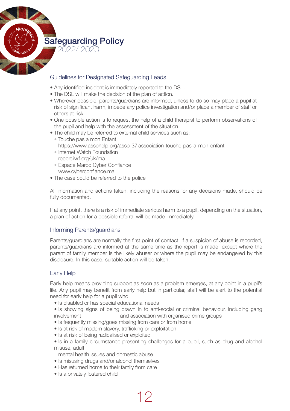

# Guidelines for Designated Safeguarding Leads

- Any identified incident is immediately reported to the DSL.
- The DSL will make the decision of the plan of action.
- • Wherever possible, parents/guardians are informed, unless to do so may place a pupil at risk of significant harm, impede any police investigation and/or place a member of staff or others at risk.
- One possible action is to request the help of a child therapist to perform observations of the pupil and help with the assessment of the situation.
- The child may be referred to external child services such as:
	- Touche pas a mon Enfant https://www.assohelp.org/asso-37-association-touche-pas-a-mon-enfant
	- Internet Watch Foundation report.iwf.org/uk/ma
	- Espace Maroc Cyber Confiance www.cyberconfiance.ma
- The case could be referred to the police

All information and actions taken, including the reasons for any decisions made, should be fully documented.

If at any point, there is a risk of immediate serious harm to a pupil, depending on the situation, a plan of action for a possible referral will be made immediately.

# Informing Parents/guardians

Parents/guardians are normally the first point of contact. If a suspicion of abuse is recorded, parents/guardians are informed at the same time as the report is made, except where the parent of family member is the likely abuser or where the pupil may be endangered by this disclosure. In this case, suitable action will be taken.

# Early Help

Early help means providing support as soon as a problem emerges, at any point in a pupil's life. Any pupil may benefit from early help but in particular, staff will be alert to the potential need for early help for a pupil who:

• Is disabled or has special educational needs

• Is showing signs of being drawn in to anti-social or criminal behaviour, including gang involvement and association with organised crime groups

- Is frequently missing/goes missing from care or from home
- Is at risk of modern slavery, trafficking or exploitation
- Is at risk of being radicalised or exploited

• Is in a family circumstance presenting challenges for a pupil, such as drug and alcohol misuse, adult

mental health issues and domestic abuse

- Is misusing drugs and/or alcohol themselves
- Has returned home to their family from care
- Is a privately fostered child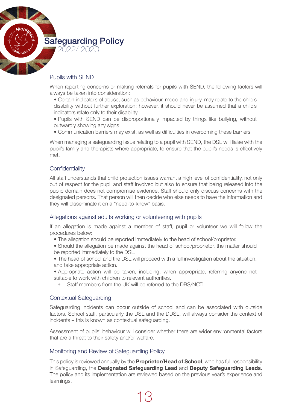

# Pupils with SEND

When reporting concerns or making referrals for pupils with SEND, the following factors will always be taken into consideration:

 • Certain indicators of abuse, such as behaviour, mood and injury, may relate to the child's disability without further exploration; however, it should never be assumed that a child's indicators relate only to their disability

• Pupils with SEND can be disproportionally impacted by things like bullying, without outwardly showing any signs

 • Communication barriers may exist, as well as difficulties in overcoming these barriers

When managing a safeguarding issue relating to a pupil with SEND, the DSL will liaise with the pupil's family and therapists where appropriate, to ensure that the pupil's needs is effectively met.

# **Confidentiality**

All staff understands that child protection issues warrant a high level of confidentiality, not only out of respect for the pupil and staff involved but also to ensure that being released into the public domain does not compromise evidence. Staff should only discuss concerns with the designated persons. That person will then decide who else needs to have the information and they will disseminate it on a "need-to-know" basis.

#### Allegations against adults working or volunteering with pupils

If an allegation is made against a member of staff, pupil or volunteer we will follow the procedures below:

• The allegation should be reported immediately to the head of school/proprietor.

• Should the allegation be made against the head of school/proprietor, the matter should be reported immediately to the DSL.

- The head of school and the DSL will proceed with a full investigation about the situation, and take appropriate action.
- Appropriate action will be taken, including, when appropriate, referring anyone not suitable to work with children to relevant authorities.
	- Staff members from the UK will be referred to the DBS/NCTL

#### Contextual Safeguarding

Safeguarding incidents can occur outside of school and can be associated with outside factors. School staff, particularly the DSL and the DDSL, will always consider the context of incidents – this is known as contextual safeguarding.

Assessment of pupils' behaviour will consider whether there are wider environmental factors that are a threat to their safety and/or welfare.

#### Monitoring and Review of Safeguarding Policy

This policy is reviewed annually by the **Proprietor/Head of School**, who has full responsibility in Safeguarding, the **Designated Safeguarding Lead** and **Deputy Safeguarding Leads**. The policy and its implementation are reviewed based on the previous year's experience and learnings.